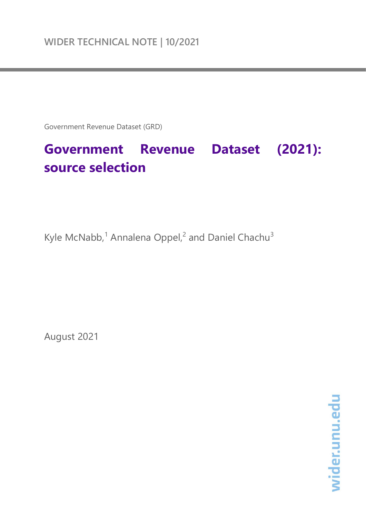Government Revenue Dataset (GRD)

# **Government Revenue Dataset (2021): source selection**

Kyle McNabb,<sup>1</sup> Annalena Oppel,<sup>2</sup> and Daniel Chachu<sup>3</sup>

August 2021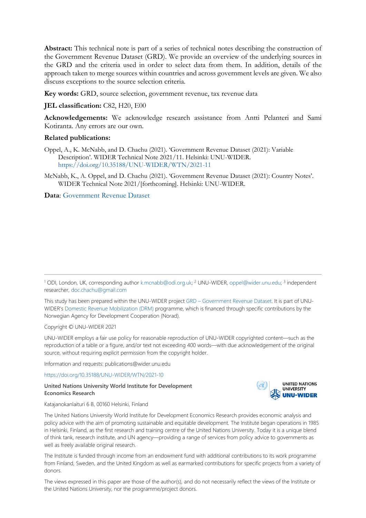**Abstract:** This technical note is part of a series of technical notes describing the construction of the Government Revenue Dataset (GRD). We provide an overview of the underlying sources in the GRD and the criteria used in order to select data from them. In addition, details of the approach taken to merge sources within countries and across government levels are given. We also discuss exceptions to the source selection criteria.

**Key words:** GRD, source selection, government revenue, tax revenue data

### **JEL classification:** C82, H20, E00

**Acknowledgements:** We acknowledge research assistance from Antti Pelanteri and Sami Kotiranta. Any errors are our own.

#### **Related publications:**

- Oppel, A., K. McNabb, and D. Chachu (2021). 'Government Revenue Dataset (2021): Variable Description'. WIDER Technical Note 2021/11. Helsinki: UNU-WIDER. <https://doi.org/10.35188/UNU-WIDER/WTN/2021-11>
- McNabb, K., A. Oppel, and D. Chachu (2021). 'Government Revenue Dataset (2021): Country Notes'. WIDER Technical Note 2021/[forthcoming]. Helsinki: UNU-WIDER.

**Data**: [Government Revenue Dataset](https://www.wider.unu.edu/project/government-revenue-dataset)

This study has been prepared within the UNU-WIDER project GRD – [Government Revenue Dataset.](https://www.wider.unu.edu/node/12596) It is part of UNU-WIDER'[s Domestic Revenue Mobilization \(DRM\)](https://www.wider.unu.edu/node/237587) programme, which is financed through specific contributions by the Norwegian Agency for Development Cooperation (Norad).

Copyright © UNU-WIDER 2021

UNU-WIDER employs a fair use policy for reasonable reproduction of UNU-WIDER copyrighted content—such as the reproduction of a table or a figure, and/or text not exceeding 400 words—with due acknowledgement of the original source, without requiring explicit permission from the copyright holder.

Information and requests: publications@wider.unu.edu

<https://doi.org/10.35188/UNU-WIDER/WTN/2021-10>

#### **United Nations University World Institute for Development Economics Research**



Katajanokanlaituri 6 B, 00160 Helsinki, Finland

The United Nations University World Institute for Development Economics Research provides economic analysis and policy advice with the aim of promoting sustainable and equitable development. The Institute began operations in 1985 in Helsinki, Finland, as the first research and training centre of the United Nations University. Today it is a unique blend of think tank, research institute, and UN agency—providing a range of services from policy advice to governments as well as freely available original research.

The Institute is funded through income from an endowment fund with additional contributions to its work programme from Finland, Sweden, and the United Kingdom as well as earmarked contributions for specific projects from a variety of donors.

The views expressed in this paper are those of the author(s), and do not necessarily reflect the views of the Institute or the United Nations University, nor the programme/project donors.

<sup>1</sup> ODI, London, UK, [corresponding](mailto:K.mcnabb@odi.org.uk) author [k.mcnabb@odi.org.uk;](mailto:k.mcnabb@odi.org.uk) <sup>2</sup> UNU-WIDER[, oppel@wider.unu.edu;](mailto:oppel@wider.unu.edu) <sup>3</sup> independent researcher, [doc.chachu@gmail.com](mailto:doc.chachu@gmail.com)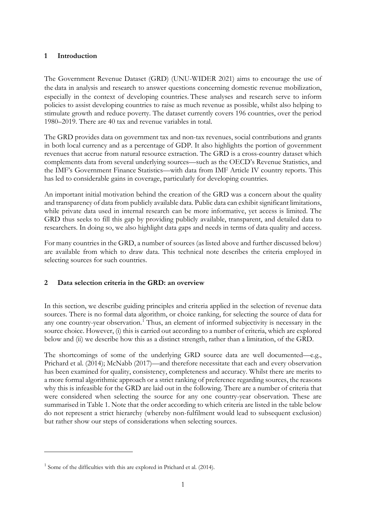# **1 Introduction**

The Government Revenue Dataset (GRD) (UNU-WIDER 2021) aims to encourage the use of the data in analysis and research to answer questions concerning domestic revenue mobilization, especially in the context of developing countries. These analyses and research serve to inform policies to assist developing countries to raise as much revenue as possible, whilst also helping to stimulate growth and reduce poverty. The dataset currently covers 196 countries, over the period 1980–2019. There are 40 tax and revenue variables in total.

The GRD provides data on government tax and non-tax revenues, social contributions and grants in both local currency and as a percentage of GDP. It also highlights the portion of government revenues that accrue from natural resource extraction. The GRD is a cross-country dataset which complements data from several underlying sources—such as the OECD's Revenue Statistics, and the IMF's Government Finance Statistics—with data from IMF Article IV country reports. This has led to considerable gains in coverage, particularly for developing countries.

An important initial motivation behind the creation of the GRD was a concern about the quality and transparency of data from publicly available data. Public data can exhibit significant limitations, while private data used in internal research can be more informative, yet access is limited. The GRD thus seeks to fill this gap by providing publicly available, transparent, and detailed data to researchers. In doing so, we also highlight data gaps and needs in terms of data quality and access.

For many countries in the GRD, a number of sources (as listed above and further discussed below) are available from which to draw data. This technical note describes the criteria employed in selecting sources for such countries.

# **2 Data selection criteria in the GRD: an overview**

In this section, we describe guiding principles and criteria applied in the selection of revenue data sources. There is no formal data algorithm, or choice ranking, for selecting the source of data for any one country-year observation.<sup>[1](#page-2-0)</sup> Thus, an element of informed subjectivity is necessary in the source choice. However, (i) this is carried out according to a number of criteria, which are explored below and (ii) we describe how this as a distinct strength, rather than a limitation, of the GRD.

The shortcomings of some of the underlying GRD source data are well documented—e.g., Prichard et al. (2014); McNabb (2017)—and therefore necessitate that each and every observation has been examined for quality, consistency, completeness and accuracy. Whilst there are merits to a more formal algorithmic approach or a strict ranking of preference regarding sources, the reasons why this is infeasible for the GRD are laid out in the following. There are a number of criteria that were considered when selecting the source for any one country-year observation. These are summarised in Table 1. Note that the order according to which criteria are listed in the table below do not represent a strict hierarchy (whereby non-fulfilment would lead to subsequent exclusion) but rather show our steps of considerations when selecting sources.

<span id="page-2-0"></span> $1$  Some of the difficulties with this are explored in Prichard et al. (2014).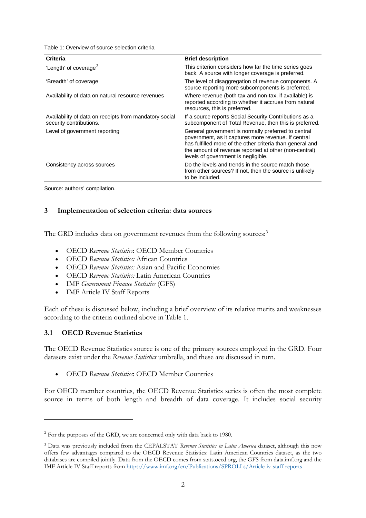Table 1: Overview of source selection criteria

| Criteria                                                                          | <b>Brief description</b>                                                                                                                                                                                                                                                |
|-----------------------------------------------------------------------------------|-------------------------------------------------------------------------------------------------------------------------------------------------------------------------------------------------------------------------------------------------------------------------|
| 'Length' of coverage <sup>2</sup>                                                 | This criterion considers how far the time series goes<br>back. A source with longer coverage is preferred.                                                                                                                                                              |
| 'Breadth' of coverage                                                             | The level of disaggregation of revenue components. A<br>source reporting more subcomponents is preferred.                                                                                                                                                               |
| Availability of data on natural resource revenues                                 | Where revenue (both tax and non-tax, if available) is<br>reported according to whether it accrues from natural<br>resources, this is preferred.                                                                                                                         |
| Availability of data on receipts from mandatory social<br>security contributions. | If a source reports Social Security Contributions as a<br>subcomponent of Total Revenue, then this is preferred.                                                                                                                                                        |
| Level of government reporting                                                     | General government is normally preferred to central<br>government, as it captures more revenue. If central<br>has fulfilled more of the other criteria than general and<br>the amount of revenue reported at other (non-central)<br>levels of government is negligible. |
| Consistency across sources                                                        | Do the levels and trends in the source match those<br>from other sources? If not, then the source is unlikely<br>to be included.                                                                                                                                        |

Source: authors' compilation.

# **3 Implementation of selection criteria: data sources**

The GRD includes data on government revenues from the following sources:<sup>[3](#page-3-1)</sup>

- OECD *Revenue Statistics*: OECD Member Countries
- OECD *Revenue Statistics:* African Countries
- OECD *Revenue Statistics:* Asian and Pacific Economies
- OECD *Revenue Statistics:* Latin American Countries
- IMF *Government Finance Statistics* (GFS)
- IMF Article IV Staff Reports

Each of these is discussed below, including a brief overview of its relative merits and weaknesses according to the criteria outlined above in Table 1.

# **3.1 OECD Revenue Statistics**

The OECD Revenue Statistics source is one of the primary sources employed in the GRD. Four datasets exist under the *Revenue Statistics* umbrella, and these are discussed in turn.

• OECD *Revenue Statistics*: OECD Member Countries

For OECD member countries, the OECD Revenue Statistics series is often the most complete source in terms of both length and breadth of data coverage. It includes social security

<span id="page-3-0"></span><sup>&</sup>lt;sup>2</sup> For the purposes of the GRD, we are concerned only with data back to 1980.

<span id="page-3-1"></span><sup>3</sup> Data was previously included from the CEPALSTAT *Revenue Statistics in Latin America* dataset, although this now offers few advantages compared to the OECD Revenue Statistics: Latin American Countries dataset, as the two databases are compiled jointly. Data from the OECD comes from stats.oecd.org, the GFS from data.imf.org and the IMF Article IV Staff reports from<https://www.imf.org/en/Publications/SPROLLs/Article-iv-staff-reports>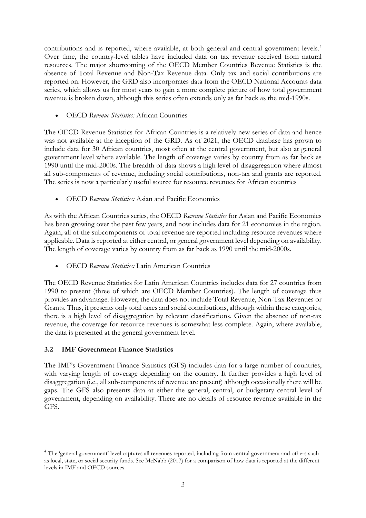contributions and is reported, where available, at both general and central government levels.<sup>[4](#page-4-0)</sup> Over time, the country-level tables have included data on tax revenue received from natural resources. The major shortcoming of the OECD Member Countries Revenue Statistics is the absence of Total Revenue and Non-Tax Revenue data. Only tax and social contributions are reported on. However, the GRD also incorporates data from the OECD National Accounts data series, which allows us for most years to gain a more complete picture of how total government revenue is broken down, although this series often extends only as far back as the mid-1990s.

• OECD *Revenue Statistics:* African Countries

The OECD Revenue Statistics for African Countries is a relatively new series of data and hence was not available at the inception of the GRD. As of 2021, the OECD database has grown to include data for 30 African countries, most often at the central government, but also at general government level where available. The length of coverage varies by country from as far back as 1990 until the mid-2000s. The breadth of data shows a high level of disaggregation where almost all sub-components of revenue, including social contributions, non-tax and grants are reported. The series is now a particularly useful source for resource revenues for African countries

• OECD *Revenue Statistics:* Asian and Pacific Economies

As with the African Countries series, the OECD *Revenue Statistics* for Asian and Pacific Economies has been growing over the past few years, and now includes data for 21 economies in the region. Again, all of the subcomponents of total revenue are reported including resource revenues where applicable. Data is reported at either central, or general government level depending on availability. The length of coverage varies by country from as far back as 1990 until the mid-2000s.

• OECD *Revenue Statistics:* Latin American Countries

The OECD Revenue Statistics for Latin American Countries includes data for 27 countries from 1990 to present (three of which are OECD Member Countries). The length of coverage thus provides an advantage. However, the data does not include Total Revenue, Non-Tax Revenues or Grants. Thus, it presents only total taxes and social contributions, although within these categories, there is a high level of disaggregation by relevant classifications. Given the absence of non-tax revenue, the coverage for resource revenues is somewhat less complete. Again, where available, the data is presented at the general government level.

# **3.2 IMF Government Finance Statistics**

The IMF's Government Finance Statistics (GFS) includes data for a large number of countries, with varying length of coverage depending on the country. It further provides a high level of disaggregation (i.e., all sub-components of revenue are present) although occasionally there will be gaps. The GFS also presents data at either the general, central, or budgetary central level of government, depending on availability. There are no details of resource revenue available in the GFS.

<span id="page-4-0"></span><sup>&</sup>lt;sup>4</sup> The 'general government' level captures all revenues reported, including from central government and others such as local, state, or social security funds. See McNabb (2017) for a comparison of how data is reported at the different levels in IMF and OECD sources.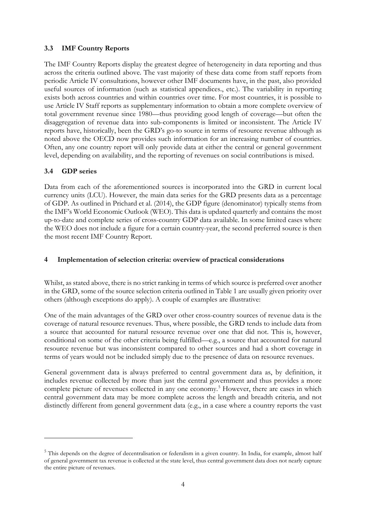# **3.3 IMF Country Reports**

The IMF Country Reports display the greatest degree of heterogeneity in data reporting and thus across the criteria outlined above. The vast majority of these data come from staff reports from periodic Article IV consultations, however other IMF documents have, in the past, also provided useful sources of information (such as statistical appendices., etc.). The variability in reporting exists both across countries and within countries over time. For most countries, it is possible to use Article IV Staff reports as supplementary information to obtain a more complete overview of total government revenue since 1980—thus providing good length of coverage—but often the disaggregation of revenue data into sub-components is limited or inconsistent. The Article IV reports have, historically, been the GRD's go-to source in terms of resource revenue although as noted above the OECD now provides such information for an increasing number of countries. Often, any one country report will only provide data at either the central or general government level, depending on availability, and the reporting of revenues on social contributions is mixed.

# **3.4 GDP series**

Data from each of the aforementioned sources is incorporated into the GRD in current local currency units (LCU). However, the main data series for the GRD presents data as a percentage of GDP. As outlined in Prichard et al. (2014), the GDP figure (denominator) typically stems from the IMF's World Economic Outlook (WEO). This data is updated quarterly and contains the most up-to-date and complete series of cross-country GDP data available. In some limited cases where the WEO does not include a figure for a certain country-year, the second preferred source is then the most recent IMF Country Report.

# **4 Implementation of selection criteria: overview of practical considerations**

Whilst, as stated above, there is no strict ranking in terms of which source is preferred over another in the GRD, some of the source selection criteria outlined in Table 1 are usually given priority over others (although exceptions do apply). A couple of examples are illustrative:

One of the main advantages of the GRD over other cross-country sources of revenue data is the coverage of natural resource revenues. Thus, where possible, the GRD tends to include data from a source that accounted for natural resource revenue over one that did not. This is, however, conditional on some of the other criteria being fulfilled—e.g., a source that accounted for natural resource revenue but was inconsistent compared to other sources and had a short coverage in terms of years would not be included simply due to the presence of data on resource revenues.

General government data is always preferred to central government data as, by definition, it includes revenue collected by more than just the central government and thus provides a more complete picture of revenues collected in any one economy. [5](#page-5-0) However, there are cases in which central government data may be more complete across the length and breadth criteria, and not distinctly different from general government data (e.g., in a case where a country reports the vast

<span id="page-5-0"></span><sup>&</sup>lt;sup>5</sup> This depends on the degree of decentralisation or federalism in a given country. In India, for example, almost half of general government tax revenue is collected at the state level, thus central government data does not nearly capture the entire picture of revenues.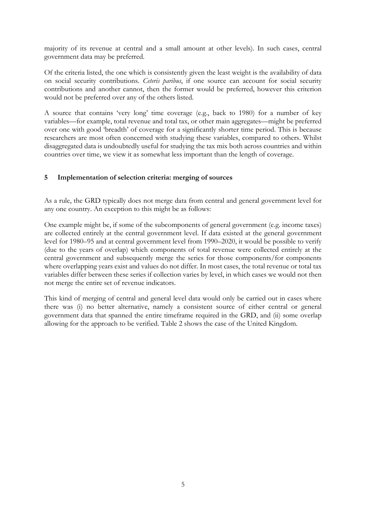majority of its revenue at central and a small amount at other levels). In such cases, central government data may be preferred.

Of the criteria listed, the one which is consistently given the least weight is the availability of data on social security contributions. *Ceteris paribus*, if one source can account for social security contributions and another cannot, then the former would be preferred, however this criterion would not be preferred over any of the others listed.

A source that contains 'very long' time coverage (e.g., back to 1980) for a number of key variables—for example, total revenue and total tax, or other main aggregates—might be preferred over one with good 'breadth' of coverage for a significantly shorter time period. This is because researchers are most often concerned with studying these variables, compared to others. Whilst disaggregated data is undoubtedly useful for studying the tax mix both across countries and within countries over time, we view it as somewhat less important than the length of coverage.

# **5 Implementation of selection criteria: merging of sources**

As a rule, the GRD typically does not merge data from central and general government level for any one country. An exception to this might be as follows:

One example might be, if some of the subcomponents of general government (e.g. income taxes) are collected entirely at the central government level. If data existed at the general government level for 1980–95 and at central government level from 1990–2020, it would be possible to verify (due to the years of overlap) which components of total revenue were collected entirely at the central government and subsequently merge the series for those components/for components where overlapping years exist and values do not differ. In most cases, the total revenue or total tax variables differ between these series if collection varies by level, in which cases we would not then not merge the entire set of revenue indicators.

This kind of merging of central and general level data would only be carried out in cases where there was (i) no better alternative, namely a consistent source of either central or general government data that spanned the entire timeframe required in the GRD, and (ii) some overlap allowing for the approach to be verified. Table 2 shows the case of the United Kingdom.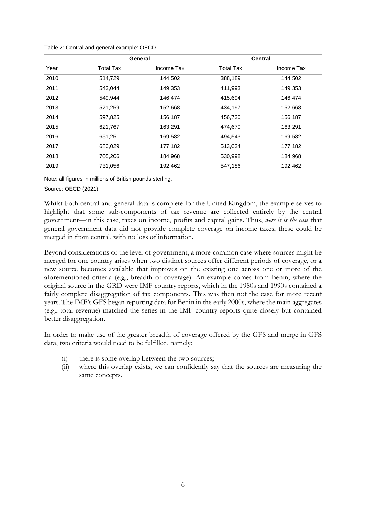|      | <b>General</b> |            |                  | <b>Central</b> |
|------|----------------|------------|------------------|----------------|
| Year | Total Tax      | Income Tax | <b>Total Tax</b> | Income Tax     |
| 2010 | 514.729        | 144,502    | 388,189          | 144,502        |
| 2011 | 543.044        | 149,353    | 411,993          | 149,353        |
| 2012 | 549.944        | 146.474    | 415,694          | 146.474        |
| 2013 | 571,259        | 152,668    | 434,197          | 152,668        |
| 2014 | 597,825        | 156,187    | 456,730          | 156,187        |
| 2015 | 621,767        | 163,291    | 474,670          | 163,291        |
| 2016 | 651,251        | 169,582    | 494,543          | 169,582        |
| 2017 | 680,029        | 177,182    | 513,034          | 177,182        |
| 2018 | 705,206        | 184,968    | 530,998          | 184,968        |
| 2019 | 731,056        | 192,462    | 547,186          | 192,462        |

Table 2: Central and general example: OECD

Note: all figures in millions of British pounds sterling.

Source: OECD (2021).

Whilst both central and general data is complete for the United Kingdom, the example serves to highlight that some sub-components of tax revenue are collected entirely by the central government—in this case, taxes on income, profits and capital gains. Thus, *were it is the case* that general government data did not provide complete coverage on income taxes, these could be merged in from central, with no loss of information.

Beyond considerations of the level of government, a more common case where sources might be merged for one country arises when two distinct sources offer different periods of coverage, or a new source becomes available that improves on the existing one across one or more of the aforementioned criteria (e.g., breadth of coverage). An example comes from Benin, where the original source in the GRD were IMF country reports, which in the 1980s and 1990s contained a fairly complete disaggregation of tax components. This was then not the case for more recent years. The IMF's GFS began reporting data for Benin in the early 2000s, where the main aggregates (e.g., total revenue) matched the series in the IMF country reports quite closely but contained better disaggregation.

In order to make use of the greater breadth of coverage offered by the GFS and merge in GFS data, two criteria would need to be fulfilled, namely:

- (i) there is some overlap between the two sources;
- (ii) where this overlap exists, we can confidently say that the sources are measuring the same concepts.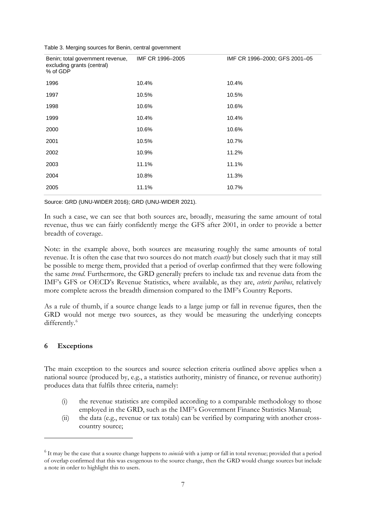|  |  | Table 3. Merging sources for Benin, central government |
|--|--|--------------------------------------------------------|
|  |  |                                                        |

| Benin; total government revenue,<br>excluding grants (central)<br>% of GDP | IMF CR 1996-2005 | IMF CR 1996-2000; GFS 2001-05 |
|----------------------------------------------------------------------------|------------------|-------------------------------|
| 1996                                                                       | 10.4%            | 10.4%                         |
| 1997                                                                       | 10.5%            | 10.5%                         |
| 1998                                                                       | 10.6%            | 10.6%                         |
| 1999                                                                       | 10.4%            | 10.4%                         |
| 2000                                                                       | 10.6%            | 10.6%                         |
| 2001                                                                       | 10.5%            | 10.7%                         |
| 2002                                                                       | 10.9%            | 11.2%                         |
| 2003                                                                       | 11.1%            | 11.1%                         |
| 2004                                                                       | 10.8%            | 11.3%                         |
| 2005                                                                       | 11.1%            | 10.7%                         |

Source: GRD (UNU-WIDER 2016); GRD (UNU-WIDER 2021).

In such a case, we can see that both sources are, broadly, measuring the same amount of total revenue, thus we can fairly confidently merge the GFS after 2001, in order to provide a better breadth of coverage.

Note: in the example above, both sources are measuring roughly the same amounts of total revenue. It is often the case that two sources do not match *exactly* but closely such that it may still be possible to merge them, provided that a period of overlap confirmed that they were following the same *trend*. Furthermore, the GRD generally prefers to include tax and revenue data from the IMF's GFS or OECD's Revenue Statistics, where available, as they are, *ceteris paribus*, relatively more complete across the breadth dimension compared to the IMF's Country Reports.

As a rule of thumb, if a source change leads to a large jump or fall in revenue figures, then the GRD would not merge two sources, as they would be measuring the underlying concepts differently.<sup>[6](#page-8-0)</sup>

# **6 Exceptions**

The main exception to the sources and source selection criteria outlined above applies when a national source (produced by, e.g., a statistics authority, ministry of finance, or revenue authority) produces data that fulfils three criteria, namely:

- (i) the revenue statistics are compiled according to a comparable methodology to those employed in the GRD, such as the IMF's Government Finance Statistics Manual;
- (ii) the data (e.g., revenue or tax totals) can be verified by comparing with another crosscountry source;

<span id="page-8-0"></span><sup>6</sup> It may be the case that a source change happens to *coincide* with a jump or fall in total revenue; provided that a period of overlap confirmed that this was exogenous to the source change, then the GRD would change sources but include a note in order to highlight this to users.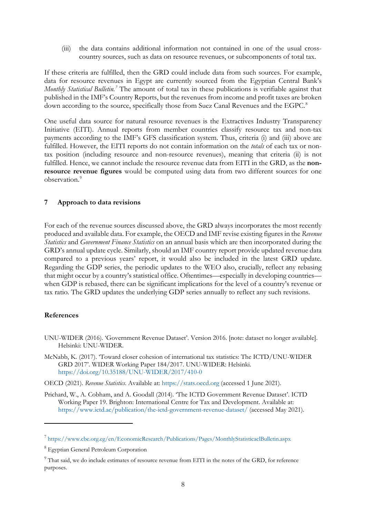(iii) the data contains additional information not contained in one of the usual crosscountry sources, such as data on resource revenues, or subcomponents of total tax.

If these criteria are fulfilled, then the GRD could include data from such sources. For example, data for resource revenues in Egypt are currently sourced from the Egyptian Central Bank's *Monthly Statistical Bulletin. [7](#page-9-0)* The amount of total tax in these publications is verifiable against that published in the IMF's Country Reports, but the revenues from income and profit taxes are broken down according to the source, specifically those from Suez Canal Revenues and the EGPC.<sup>[8](#page-9-1)</sup>

One useful data source for natural resource revenues is the Extractives Industry Transparency Initiative (EITI). Annual reports from member countries classify resource tax and non-tax payments according to the IMF's GFS classification system. Thus, criteria (i) and (iii) above are fulfilled. However, the EITI reports do not contain information on the *totals* of each tax or nontax position (including resource and non-resource revenues), meaning that criteria (ii) is not fulfilled. Hence, we cannot include the resource revenue data from EITI in the GRD, as the **nonresource revenue figures** would be computed using data from two different sources for one observation<sup>[9](#page-9-2)</sup>

## **7 Approach to data revisions**

For each of the revenue sources discussed above, the GRD always incorporates the most recently produced and available data. For example, the OECD and IMF revise existing figures in the *Revenue Statistics* and *Government Finance Statistics* on an annual basis which are then incorporated during the GRD's annual update cycle. Similarly, should an IMF country report provide updated revenue data compared to a previous years' report, it would also be included in the latest GRD update. Regarding the GDP series, the periodic updates to the WEO also, crucially, reflect any rebasing that might occur by a country's statistical office. Oftentimes—especially in developing countries when GDP is rebased, there can be significant implications for the level of a country's revenue or tax ratio. The GRD updates the underlying GDP series annually to reflect any such revisions.

## **References**

- UNU-WIDER (2016). 'Government Revenue Dataset'. Version 2016. [note: dataset no longer available]. Helsinki: UNU-WIDER.
- McNabb, K. (2017). 'Toward closer cohesion of international tax statistics: The ICTD/UNU-WIDER GRD 2017'. WIDER Working Paper 184/2017. UNU-WIDER: Helsinki. <https://doi.org/10.35188/UNU-WIDER/2017/410-0>
- OECD (2021). *Revenue Statistics*. Available at: [https://stats.oecd.org](https://stats.oecd.org/) (accessed 1 June 2021).
- Prichard, W., A. Cobham, and A. Goodall (2014). 'The ICTD Government Revenue Dataset'. ICTD Working Paper 19. Brighton: International Centre for Tax and Development. Available at: <https://www.ictd.ac/publication/the-ictd-government-revenue-dataset/> (accessed May 2021).

<span id="page-9-0"></span><sup>7</sup> <https://www.cbe.org.eg/en/EconomicResearch/Publications/Pages/MonthlyStatisticaclBulletin.aspx>

<span id="page-9-1"></span><sup>8</sup> Egyptian General Petroleum Corporation

<span id="page-9-2"></span><sup>&</sup>lt;sup>9</sup> That said, we do include estimates of resource revenue from EITI in the notes of the GRD, for reference purposes.